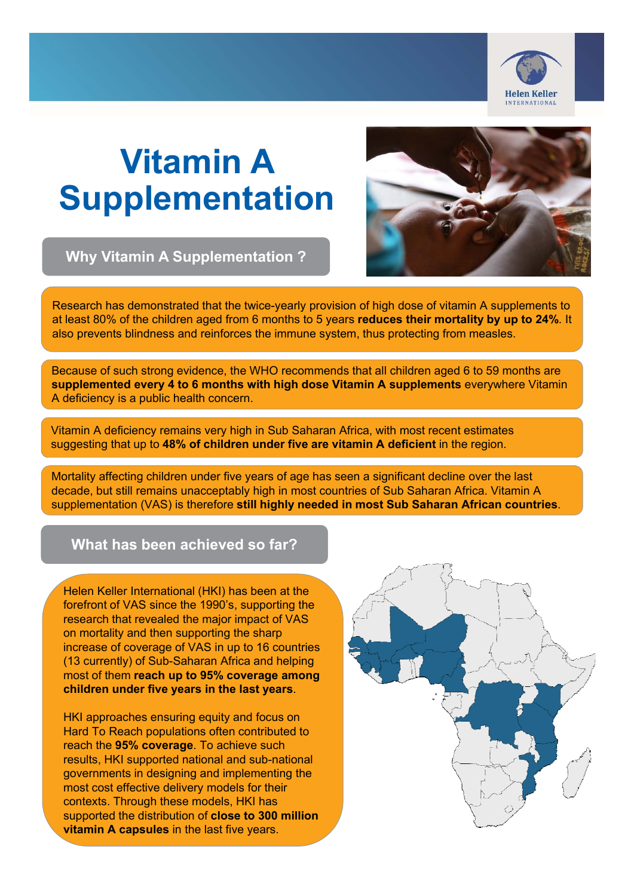

# **Vitamin A Supplementation**

**Why Vitamin A Supplementation ?**



Research has demonstrated that the twice-yearly provision of high dose of vitamin A supplements to at least 80% of the children aged from 6 months to 5 years **reduces their mortality by up to 24%**. It also prevents blindness and reinforces the immune system, thus protecting from measles.

Because of such strong evidence, the WHO recommends that all children aged 6 to 59 months are **supplemented every 4 to 6 months with high dose Vitamin A supplements** everywhere Vitamin A deficiency is a public health concern.

Vitamin A deficiency remains very high in Sub Saharan Africa, with most recent estimates suggesting that up to **48% of children under five are vitamin A deficient** in the region.

Mortality affecting children under five years of age has seen a significant decline over the last decade, but still remains unacceptably high in most countries of Sub Saharan Africa. Vitamin A supplementation (VAS) is therefore **still highly needed in most Sub Saharan African countries**.

**What has been achieved so far?**

Helen Keller International (HKI) has been at the forefront of VAS since the 1990's, supporting the research that revealed the major impact of VAS on mortality and then supporting the sharp increase of coverage of VAS in up to 16 countries (13 currently) of Sub-Saharan Africa and helping most of them **reach up to 95% coverage among children under five years in the last years**.

HKI approaches ensuring equity and focus on Hard To Reach populations often contributed to reach the **95% coverage**. To achieve such results, HKI supported national and sub-national governments in designing and implementing the most cost effective delivery models for their contexts. Through these models, HKI has supported the distribution of **close to 300 million vitamin A capsules** in the last five years.

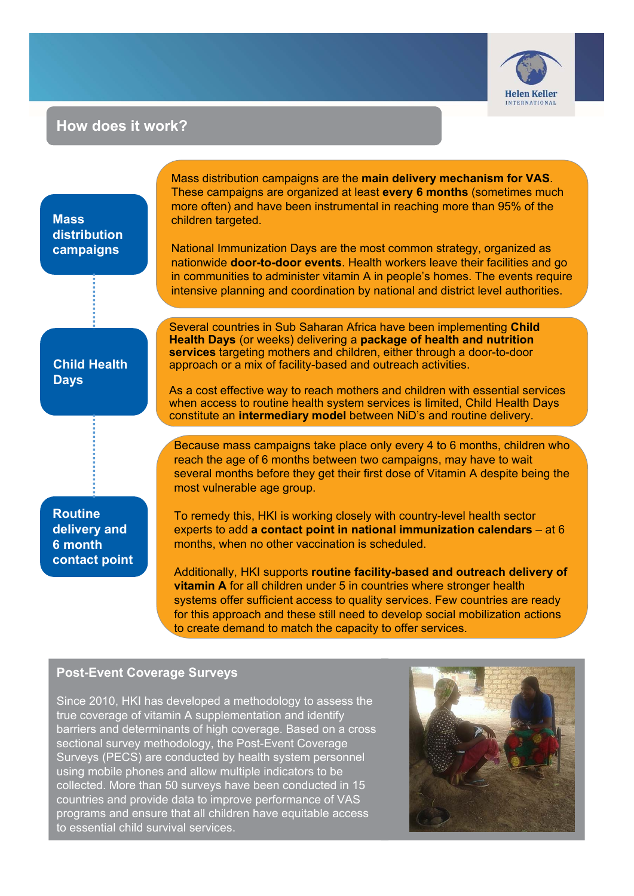

# **How does it work?**

**Mass distribution campaigns**

Mass distribution campaigns are the **main delivery mechanism for VAS**. These campaigns are organized at least **every 6 months** (sometimes much more often) and have been instrumental in reaching more than 95% of the children targeted.

National Immunization Days are the most common strategy, organized as nationwide **door-to-door events**. Health workers leave their facilities and go in communities to administer vitamin A in people's homes. The events require intensive planning and coordination by national and district level authorities.

# **Child Health Days**

Several countries in Sub Saharan Africa have been implementing **Child Health Days** (or weeks) delivering a **package of health and nutrition services** targeting mothers and children, either through a door-to-door approach or a mix of facility-based and outreach activities.

As a cost effective way to reach mothers and children with essential services when access to routine health system services is limited, Child Health Days constitute an **intermediary model** between NiD's and routine delivery.

Because mass campaigns take place only every 4 to 6 months, children who reach the age of 6 months between two campaigns, may have to wait several months before they get their first dose of Vitamin A despite being the most vulnerable age group.

**Routine delivery and 6 month contact point**

To remedy this, HKI is working closely with country-level health sector experts to add **a contact point in national immunization calendars** – at 6 months, when no other vaccination is scheduled.

Additionally, HKI supports **routine facility-based and outreach delivery of vitamin A** for all children under 5 in countries where stronger health systems offer sufficient access to quality services. Few countries are ready for this approach and these still need to develop social mobilization actions to create demand to match the capacity to offer services.

# **Post-Event Coverage Surveys**

Since 2010, HKI has developed a methodology to assess the true coverage of vitamin A supplementation and identify barriers and determinants of high coverage. Based on a cross sectional survey methodology, the Post-Event Coverage Surveys (PECS) are conducted by health system personnel using mobile phones and allow multiple indicators to be collected. More than 50 surveys have been conducted in 15 countries and provide data to improve performance of VAS programs and ensure that all children have equitable access to essential child survival services.

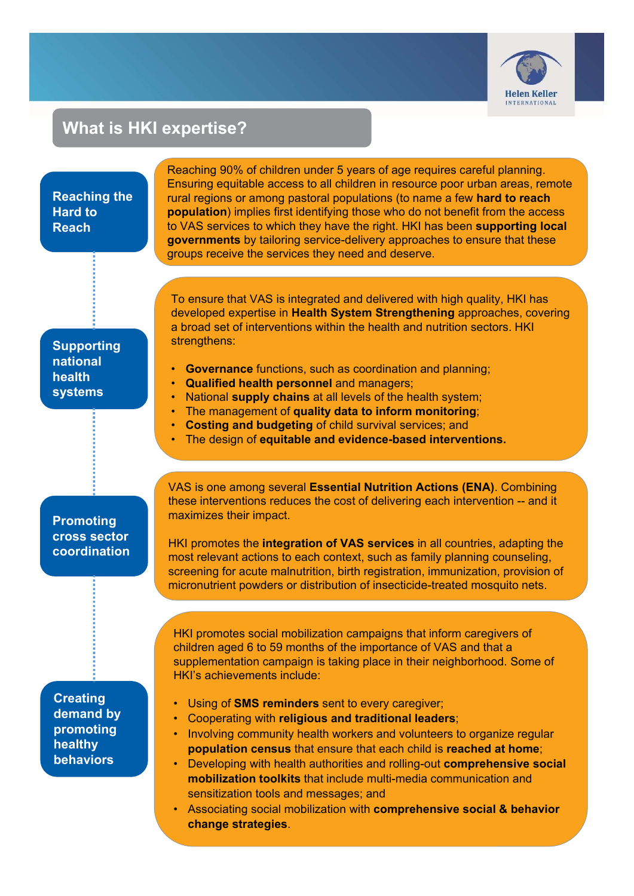

# **What is HKI expertise?**

#### **Reaching the Hard to Reach Supporting national health systems Promoting cross sector coordination** Reaching 90% of children under 5 years of age requires careful planning. Ensuring equitable access to all children in resource poor urban areas, remote rural regions or among pastoral populations (to name a few **hard to reach population**) implies first identifying those who do not benefit from the access to VAS services to which they have the right. HKI has been **supporting local governments** by tailoring service-delivery approaches to ensure that these groups receive the services they need and deserve. To ensure that VAS is integrated and delivered with high quality, HKI has developed expertise in **Health System Strengthening** approaches, covering a broad set of interventions within the health and nutrition sectors. HKI strengthens: **Governance** functions, such as coordination and planning; • **Qualified health personnel** and managers; • National **supply chains** at all levels of the health system; • The management of **quality data to inform monitoring**; • **Costing and budgeting** of child survival services; and • The design of **equitable and evidence-based interventions.**  VAS is one among several **Essential Nutrition Actions (ENA)**. Combining these interventions reduces the cost of delivering each intervention -- and it maximizes their impact. HKI promotes the **integration of VAS services** in all countries, adapting the most relevant actions to each context, such as family planning counseling, screening for acute malnutrition, birth registration, immunization, provision of micronutrient powders or distribution of insecticide-treated mosquito nets. HKI promotes social mobilization campaigns that inform caregivers of children aged 6 to 59 months of the importance of VAS and that a supplementation campaign is taking place in their neighborhood. Some of HKI's achievements include: • Using of **SMS reminders** sent to every caregiver; • Cooperating with **religious and traditional leaders**; • Involving community health workers and volunteers to organize regular **population census** that ensure that each child is **reached at home**; • Developing with health authorities and rolling-out **comprehensive social mobilization toolkits** that include multi-media communication and sensitization tools and messages; and • Associating social mobilization with **comprehensive social & behavior change strategies**. **Creating demand by promoting healthy behaviors**